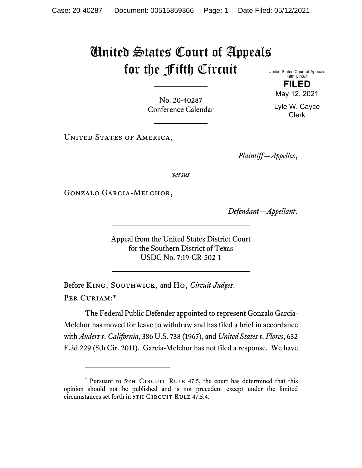## United States Court of Appeals for the Fifth Circuit

No. 20-40287 Conference Calendar

UNITED STATES OF AMERICA,

*Plaintiff—Appellee*,

*versus*

Gonzalo Garcia-Melchor,

*Defendant—Appellant*.

Appeal from the United States District Court for the Southern District of Texas USDC No. 7:19-CR-502-1

Before King, Southwick, and Ho, *Circuit Judges*. Per Curiam:\*

The Federal Public Defender appointed to represent Gonzalo Garcia-Melchor has moved for leave to withdraw and has filed a brief in accordance with *Anders v. California*, 386 U.S. 738 (1967), and *United States v. Flores*, 632 F.3d 229 (5th Cir. 2011). Garcia-Melchor has not filed a response. We have

United States Court of Appeals Fifth Circuit

> **FILED**  May 12, 2021

Lyle W. Cayce Clerk

<sup>\*</sup> Pursuant to 5TH CIRCUIT RULE 47.5, the court has determined that this opinion should not be published and is not precedent except under the limited circumstances set forth in 5TH CIRCUIT RULE 47.5.4.